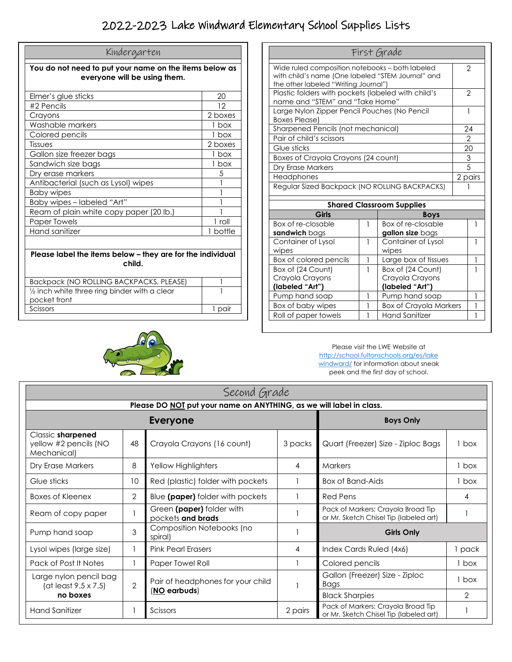## 2022-2023 Lake Windward Elementary School Supplies Lists

| Kindergarten                                                                           |          |  |
|----------------------------------------------------------------------------------------|----------|--|
| You do not need to put your name on the items below as<br>everyone will be using them. |          |  |
| Elmer's glue sticks                                                                    | 20       |  |
| #2 Pencils                                                                             | 12       |  |
| Crayons                                                                                | 2 boxes  |  |
| Washable markers                                                                       | 1 box    |  |
| Colored pencils                                                                        | 1 box    |  |
| Tissues                                                                                | 2 boxes  |  |
| Gallon size freezer bags                                                               | 1 box    |  |
| Sandwich size bags                                                                     | 1 box    |  |
| Dry erase markers                                                                      | 5        |  |
| Antibacterial (such as Lysol) wipes                                                    |          |  |
| <b>Baby wipes</b>                                                                      |          |  |
| Baby wipes – labeled "Art"                                                             |          |  |
| Ream of plain white copy paper (20 lb.)                                                |          |  |
| <b>Paper Towels</b>                                                                    | 1 roll   |  |
| Hand sanitizer                                                                         | 1 bottle |  |
|                                                                                        |          |  |
| Please label the items below – they are for the individual<br>child.                   |          |  |

| Backpack (NO ROLLING BACKPACKS, PLEASE)                 |      |
|---------------------------------------------------------|------|
| $\frac{1}{2}$ inch white three ring binder with a clear |      |
| pocket front                                            |      |
| <b>Scissors</b>                                         | naii |





Please visit the LWE Website at http://school.fultonschools.org/es/lake windward/ for information about sneak peek and the first day of school.

| Second Grade                                                        |                |                                                |         |                                                                              |               |  |
|---------------------------------------------------------------------|----------------|------------------------------------------------|---------|------------------------------------------------------------------------------|---------------|--|
| Please DO NOT put your name on ANYTHING, as we will label in class. |                |                                                |         |                                                                              |               |  |
| <b>Everyone</b>                                                     |                |                                                |         | <b>Boys Only</b>                                                             |               |  |
| Classic sharpened<br>yellow #2 pencils (NO<br>Mechanical)           | 48             | Crayola Crayons (16 count)                     | 3 packs | Quart (Freezer) Size - Ziploc Bags                                           | 1 box         |  |
| Dry Erase Markers                                                   | 8              | Yellow Highlighters                            | 4       | <b>Markers</b>                                                               | 1 box         |  |
| Glue sticks                                                         | 10             | Red (plastic) folder with pockets              |         | <b>Box of Band-Aids</b>                                                      | 1 box         |  |
| Boxes of Kleenex                                                    | $\overline{2}$ | Blue (paper) folder with pockets               |         | <b>Red Pens</b>                                                              | 4             |  |
| Ream of copy paper                                                  |                | Green (paper) folder with<br>pockets and brads |         | Pack of Markers: Crayola Broad Tip<br>or Mr. Sketch Chisel Tip (labeled art) |               |  |
| Pump hand soap                                                      | 3              | Composition Notebooks (no<br>spiral)           |         | <b>Girls Only</b>                                                            |               |  |
| Lysol wipes (large size)                                            |                | <b>Pink Pearl Erasers</b>                      | 4       | Index Cards Ruled (4x6)                                                      | pack          |  |
| Pack of Post It Notes                                               |                | Paper Towel Roll                               |         | Colored pencils                                                              | 1 box         |  |
| Large nylon pencil bag<br>(at least 9.5 x 7.5)                      | $\overline{2}$ | Pair of headphones for your child              |         | Gallon (Freezer) Size - Ziploc<br>Bags                                       | box           |  |
| no boxes                                                            |                | (NO earbuds)                                   |         | <b>Black Sharpies</b>                                                        | $\mathcal{P}$ |  |
| <b>Hand Sanitizer</b>                                               |                | Scissors                                       | 2 pairs | Pack of Markers: Crayola Broad Tip<br>or Mr. Sketch Chisel Tip (labeled art) |               |  |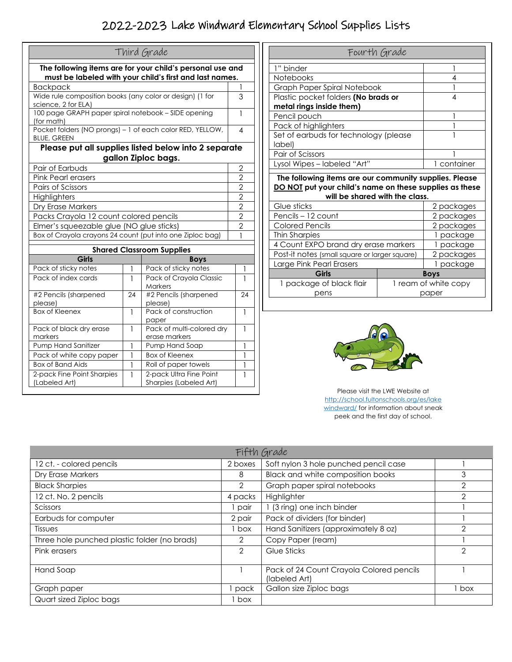## 2022-2023 Lake Windward Elementary School Supplies Lists

|                                                                                                                      |    | Third Grade                                                                 |                |
|----------------------------------------------------------------------------------------------------------------------|----|-----------------------------------------------------------------------------|----------------|
| The following items are for your child's personal use and<br>must be labeled with your child's first and last names. |    |                                                                             |                |
| <b>Backpack</b>                                                                                                      |    |                                                                             |                |
| Wide rule composition books (any color or design) (1 for<br>science, 2 for ELA)                                      |    |                                                                             | 3              |
| 100 page GRAPH paper spiral notebook - SIDE opening<br>(for math)                                                    |    |                                                                             | 1              |
| Pocket folders (NO prongs) - 1 of each color RED, YELLOW,<br><b>BLUE, GREEN</b>                                      |    |                                                                             | 4              |
|                                                                                                                      |    | Please put all supplies listed below into 2 separate<br>gallon Ziploc bags. |                |
| Pair of Earbuds                                                                                                      |    |                                                                             | $\overline{2}$ |
| <b>Pink Pearl erasers</b>                                                                                            |    |                                                                             | $\overline{2}$ |
| Pairs of Scissors                                                                                                    |    |                                                                             | $\overline{2}$ |
| Highlighters                                                                                                         |    |                                                                             |                |
| Dry Erase Markers                                                                                                    |    |                                                                             | $\frac{2}{2}$  |
| Packs Crayola 12 count colored pencils                                                                               |    |                                                                             | $\overline{2}$ |
| Elmer's squeezable glue (NO glue sticks)                                                                             |    |                                                                             | $\overline{2}$ |
| Box of Crayola crayons 24 count (put into one Ziploc bag)                                                            |    |                                                                             | 1              |
|                                                                                                                      |    | <b>Shared Classroom Supplies</b>                                            |                |
| <b>Girls</b>                                                                                                         |    | <b>Boys</b>                                                                 |                |
| Pack of sticky notes                                                                                                 | 1  | Pack of sticky notes                                                        | 1              |
| Pack of index cards                                                                                                  | 1  | Pack of Crayola Classic<br>Markers                                          | 1              |
| #2 Pencils (sharpened<br>please)                                                                                     | 24 | #2 Pencils (sharpened<br>24<br>please)                                      |                |
| <b>Box of Kleenex</b>                                                                                                | 1  | Pack of construction<br>paper                                               | 1              |
| Pack of black dry erase<br>markers                                                                                   | 1  | Pack of multi-colored dry<br>erase markers                                  | 1              |
| Pump Hand Sanitizer                                                                                                  | 1  | Pump Hand Soap                                                              | 1              |
| Pack of white copy paper                                                                                             | 1  | <b>Box of Kleenex</b>                                                       | 1              |
| <b>Box of Band Aids</b>                                                                                              | 1  | Roll of paper towels                                                        | 1              |
| 2-pack Fine Point Sharpies<br>(Labeled Art)                                                                          | 1  | 2-pack Ultra Fine Point<br>Sharpies (Labeled Art)                           | 1              |

| Fourth Grade                                                                                                                                        |                      |  |
|-----------------------------------------------------------------------------------------------------------------------------------------------------|----------------------|--|
| 1" binder                                                                                                                                           | 1                    |  |
| <b>Notebooks</b>                                                                                                                                    | 4                    |  |
| Graph Paper Spiral Notebook                                                                                                                         |                      |  |
| Plastic pocket folders (No brads or                                                                                                                 | 4                    |  |
| metal rings inside them)                                                                                                                            |                      |  |
| Pencil pouch                                                                                                                                        | 1                    |  |
| Pack of highlighters                                                                                                                                |                      |  |
| Set of earbuds for technology (please<br>label)                                                                                                     |                      |  |
| Pair of Scissors                                                                                                                                    |                      |  |
|                                                                                                                                                     |                      |  |
| Lysol Wipes - labeled "Art"                                                                                                                         | 1 container          |  |
| The following items are our community supplies. Please<br>DO NOT put your child's name on these supplies as these<br>will be shared with the class. |                      |  |
| Glue sticks                                                                                                                                         | 2 packages           |  |
| Pencils - 12 count                                                                                                                                  | 2 packages           |  |
| <b>Colored Pencils</b>                                                                                                                              | 2 packages           |  |
| Thin Sharpies                                                                                                                                       | 1 package            |  |
| 4 Count EXPO brand dry erase markers                                                                                                                | 1 package            |  |
| Post-it notes (small square or larger square)                                                                                                       | 2 packages           |  |
| Large Pink Pearl Erasers                                                                                                                            | 1 package            |  |
| Girls                                                                                                                                               | <b>Boys</b>          |  |
| 1 package of black flair                                                                                                                            | 1 ream of white copy |  |



Please visit the LWE Website at http://school.fultonschools.org/es/lake windward/ for information about sneak peek and the first day of school.

| Fifth Grade                                  |                |                                                           |                |
|----------------------------------------------|----------------|-----------------------------------------------------------|----------------|
| 12 ct. - colored pencils                     | 2 boxes        | Soft nylon 3 hole punched pencil case                     |                |
| Dry Erase Markers                            | 8              | <b>Black and white composition books</b>                  | 3              |
| <b>Black Sharpies</b>                        | 2              | Graph paper spiral notebooks                              | $\overline{2}$ |
| 12 ct. No. 2 pencils                         | 4 packs        | Highlighter                                               | 2              |
| Scissors                                     | pair           | 1 (3 ring) one inch binder                                |                |
| Earbuds for computer                         | 2 pair         | Pack of dividers (for binder)                             |                |
| Tissues                                      | box            | Hand Sanitizers (approximately 8 oz)                      | 2              |
| Three hole punched plastic folder (no brads) | 2              | Copy Paper (ream)                                         |                |
| Pink erasers                                 | $\overline{2}$ | Glue Sticks                                               | $\mathcal{P}$  |
| Hand Soap                                    |                | Pack of 24 Count Crayola Colored pencils<br>(labeled Art) |                |
| Graph paper                                  | pack           | Gallon size Ziploc bags                                   | box            |
| Quart sized Ziploc bags                      | box            |                                                           |                |